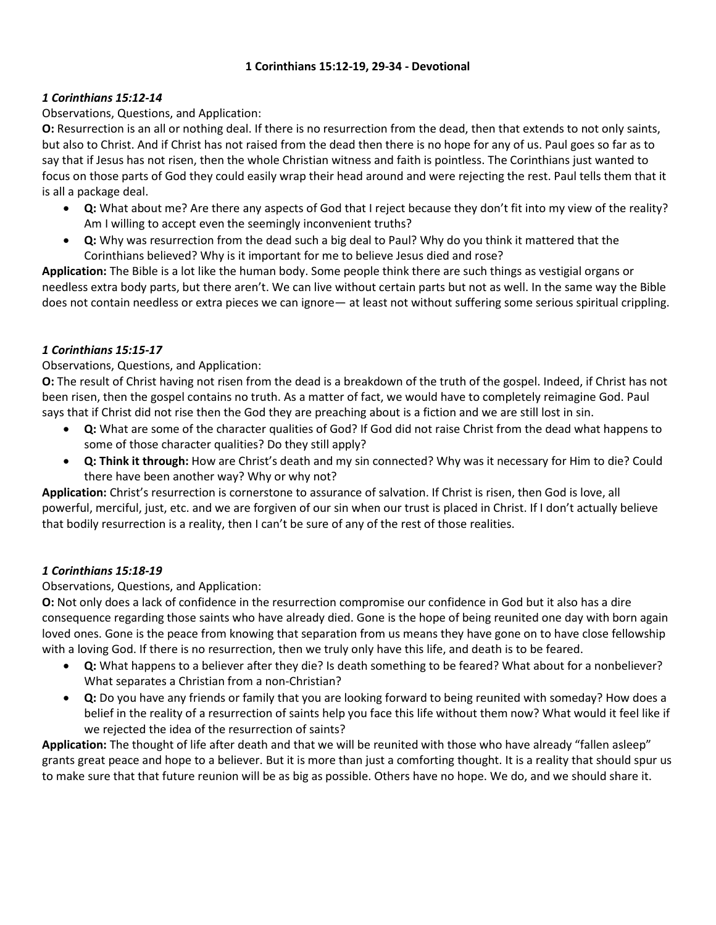#### **1 Corinthians 15:12-19, 29-34 - Devotional**

# *1 Corinthians 15:12-14*

# Observations, Questions, and Application:

**O:** Resurrection is an all or nothing deal. If there is no resurrection from the dead, then that extends to not only saints, but also to Christ. And if Christ has not raised from the dead then there is no hope for any of us. Paul goes so far as to say that if Jesus has not risen, then the whole Christian witness and faith is pointless. The Corinthians just wanted to focus on those parts of God they could easily wrap their head around and were rejecting the rest. Paul tells them that it is all a package deal.

- **Q:** What about me? Are there any aspects of God that I reject because they don't fit into my view of the reality? Am I willing to accept even the seemingly inconvenient truths?
- **Q:** Why was resurrection from the dead such a big deal to Paul? Why do you think it mattered that the Corinthians believed? Why is it important for me to believe Jesus died and rose?

**Application:** The Bible is a lot like the human body. Some people think there are such things as vestigial organs or needless extra body parts, but there aren't. We can live without certain parts but not as well. In the same way the Bible does not contain needless or extra pieces we can ignore— at least not without suffering some serious spiritual crippling.

# *1 Corinthians 15:15-17*

## Observations, Questions, and Application:

**O:** The result of Christ having not risen from the dead is a breakdown of the truth of the gospel. Indeed, if Christ has not been risen, then the gospel contains no truth. As a matter of fact, we would have to completely reimagine God. Paul says that if Christ did not rise then the God they are preaching about is a fiction and we are still lost in sin.

- **Q:** What are some of the character qualities of God? If God did not raise Christ from the dead what happens to some of those character qualities? Do they still apply?
- **Q: Think it through:** How are Christ's death and my sin connected? Why was it necessary for Him to die? Could there have been another way? Why or why not?

**Application:** Christ's resurrection is cornerstone to assurance of salvation. If Christ is risen, then God is love, all powerful, merciful, just, etc. and we are forgiven of our sin when our trust is placed in Christ. If I don't actually believe that bodily resurrection is a reality, then I can't be sure of any of the rest of those realities.

# *1 Corinthians 15:18-19*

# Observations, Questions, and Application:

**O:** Not only does a lack of confidence in the resurrection compromise our confidence in God but it also has a dire consequence regarding those saints who have already died. Gone is the hope of being reunited one day with born again loved ones. Gone is the peace from knowing that separation from us means they have gone on to have close fellowship with a loving God. If there is no resurrection, then we truly only have this life, and death is to be feared.

- **Q:** What happens to a believer after they die? Is death something to be feared? What about for a nonbeliever? What separates a Christian from a non-Christian?
- **Q:** Do you have any friends or family that you are looking forward to being reunited with someday? How does a belief in the reality of a resurrection of saints help you face this life without them now? What would it feel like if we rejected the idea of the resurrection of saints?

**Application:** The thought of life after death and that we will be reunited with those who have already "fallen asleep" grants great peace and hope to a believer. But it is more than just a comforting thought. It is a reality that should spur us to make sure that that future reunion will be as big as possible. Others have no hope. We do, and we should share it.